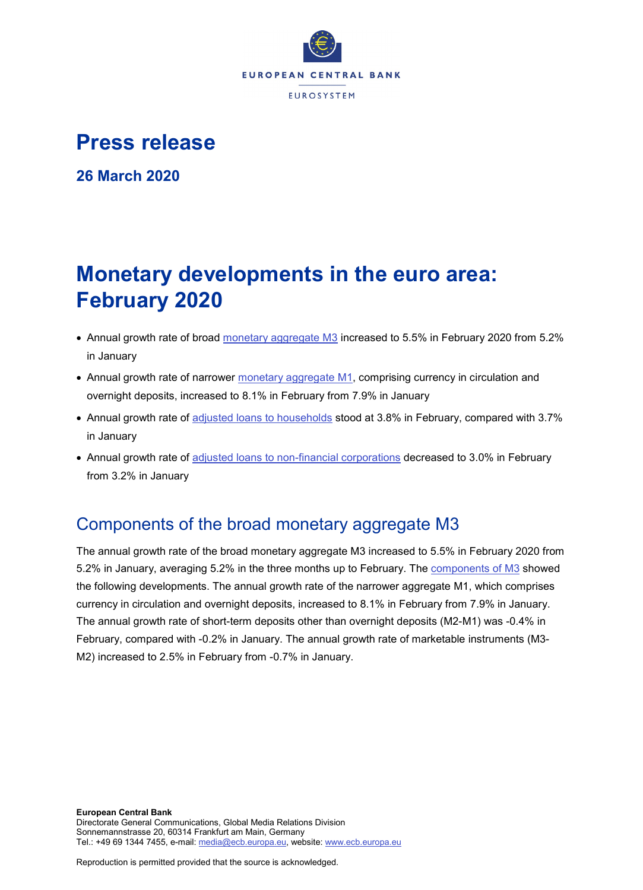

## **Press release**

**26 March 2020**

# **Monetary developments in the euro area: February 2020**

- Annual growth rate of broad [monetary aggregate M3](http://sdw.ecb.europa.eu/browseSelection.do?type=series&q=BSI.M.U2.Y.V.M30.X.I.U2.2300.Z01.A&node=SEARCHRESULTS) increased to 5.5% in February 2020 from 5.2% in January
- Annual growth rate of narrower [monetary aggregate M1,](http://sdw.ecb.europa.eu/browseSelection.do?type=series&q=BSI.M.U2.Y.V.M10.X.I.U2.2300.Z01.A&node=SEARCHRESULTS) comprising currency in circulation and overnight deposits, increased to 8.1% in February from 7.9% in January
- Annual growth rate of [adjusted loans to households](http://sdw.ecb.europa.eu/browseSelection.do?type=series&q=BSI.M.U2.Y.U.A20T.A.I.U2.2250.Z01.A&node=SEARCHRESULTS) stood at 3.8% in February, compared with 3.7% in January
- Annual growth rate of [adjusted loans to non-financial corporations](http://sdw.ecb.europa.eu/browseSelection.do?type=series&q=BSI.M.U2.Y.U.A20T.A.I.U2.2240.Z01.A&node=SEARCHRESULTS) decreased to 3.0% in February from 3.2% in January

## Components of the broad monetary aggregate M3

The annual growth rate of the broad monetary aggregate M3 increased to 5.5% in February 2020 from 5.2% in January, averaging 5.2% in the three months up to February. The [components of M3](http://sdw.ecb.europa.eu/browseSelection.do?type=series&q=BSI.M.U2.Y.V.M30.X.I.U2.2300.Z01.A+BSI.M.U2.Y.V.M10.X.I.U2.2300.Z01.A+BSI.M.U2.Y.V.L2A.M.I.U2.2300.Z01.A+BSI.M.U2.Y.V.LT3.L.I.U2.2300.Z01.A&node=SEARCHRESULTS) showed the following developments. The annual growth rate of the narrower aggregate M1, which comprises currency in circulation and overnight deposits, increased to 8.1% in February from 7.9% in January. The annual growth rate of short-term deposits other than overnight deposits (M2-M1) was -0.4% in February, compared with -0.2% in January. The annual growth rate of marketable instruments (M3- M2) increased to 2.5% in February from -0.7% in January.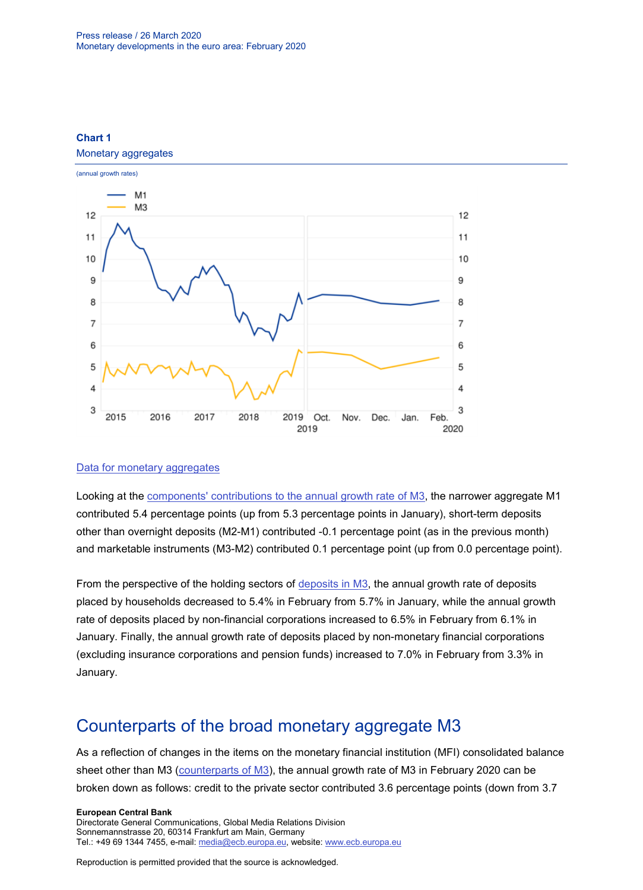

#### **Chart 1** Monetary aggregates

#### [Data for monetary aggregates](http://sdw.ecb.europa.eu/browseSelection.do?type=series&q=BSI.M.U2.Y.V.M30.X.I.U2.2300.Z01.A+BSI.M.U2.Y.V.M10.X.I.U2.2300.Z01.A&node=SEARCHRESULTS)

Looking at the [components' contributions to the annual growth rate of M3,](http://sdw.ecb.europa.eu/browseSelection.do?type=series&q=BSI.M.U2.Y.V.M10.X.Q.U2.2300.Z01.F+BSI.M.U2.Y.V.L2A.M.Q.U2.2300.Z01.F+BSI.M.U2.Y.V.LT3.L.Q.U2.2300.Z01.F&node=SEARCHRESULTS) the narrower aggregate M1 contributed 5.4 percentage points (up from 5.3 percentage points in January), short-term deposits other than overnight deposits (M2-M1) contributed -0.1 percentage point (as in the previous month) and marketable instruments (M3-M2) contributed 0.1 percentage point (up from 0.0 percentage point).

From the perspective of the holding sectors of [deposits in M3,](http://sdw.ecb.europa.eu/browseSelection.do?type=series&q=BSI.M.U2.Y.V.L2C.M.I.U2.2250.Z01.A+BSI.M.U2.Y.V.L2C.M.I.U2.2240.Z01.A+BSI.M.U2.Y.V.L2C.M.I.U2.2210.Z01.A&node=SEARCHRESULTS) the annual growth rate of deposits placed by households decreased to 5.4% in February from 5.7% in January, while the annual growth rate of deposits placed by non-financial corporations increased to 6.5% in February from 6.1% in January. Finally, the annual growth rate of deposits placed by non-monetary financial corporations (excluding insurance corporations and pension funds) increased to 7.0% in February from 3.3% in January.

### Counterparts of the broad monetary aggregate M3

As a reflection of changes in the items on the monetary financial institution (MFI) consolidated balance sheet other than M3 [\(counterparts of M3\)](http://sdw.ecb.europa.eu/browseSelection.do?type=series&q=BSI.M.U2.Y.V.M30.X.I.U2.2300.Z01.A+BSI.M.U2.Y.U.LT2.X.Q.Z5.0000.Z01.F+BSI.M.U2.Y.U.A80.A.Q.U4.0000.Z01.F+BSI.M.U2.Y.U.AT2.A.Q.U2.2100.Z01.F+BSI.M.U2.Y.U.AT2.A.Q.U2.2200.Z01.F+BSI.M.U2.Y.U.R31A.X.Q.Z5.0000.Z01.F&node=SEARCHRESULTS), the annual growth rate of M3 in February 2020 can be broken down as follows: credit to the private sector contributed 3.6 percentage points (down from 3.7

**European Central Bank**

Directorate General Communications, Global Media Relations Division Sonnemannstrasse 20, 60314 Frankfurt am Main, Germany Tel.: +49 69 1344 7455, e-mail: [media@ecb.europa.eu,](mailto:media@ecb.europa.eu) website: [www.ecb.europa.eu](http://www.ecb.europa.eu/)

Reproduction is permitted provided that the source is acknowledged.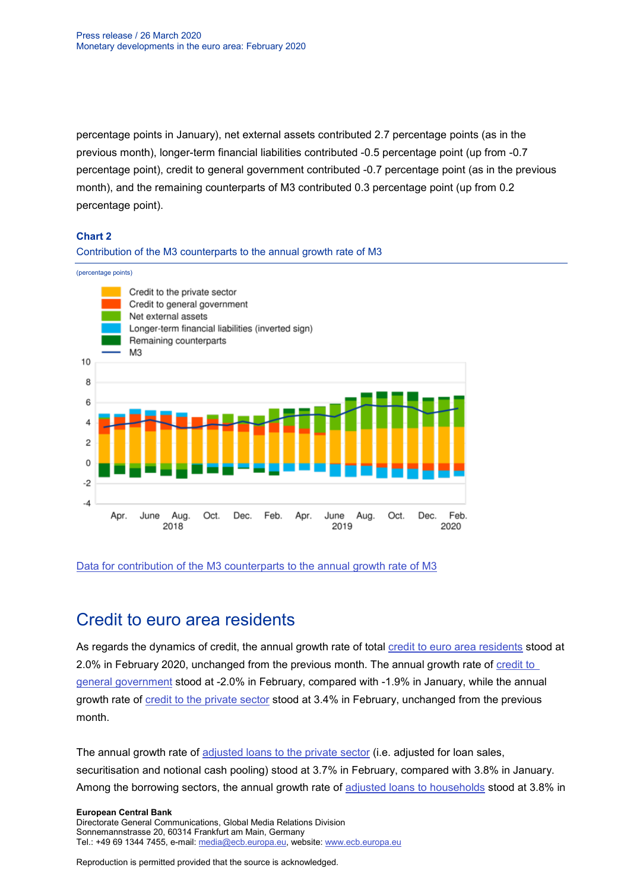percentage points in January), net external assets contributed 2.7 percentage points (as in the previous month), longer-term financial liabilities contributed -0.5 percentage point (up from -0.7 percentage point), credit to general government contributed -0.7 percentage point (as in the previous month), and the remaining counterparts of M3 contributed 0.3 percentage point (up from 0.2 percentage point).

#### **Chart 2**

#### Contribution of the M3 counterparts to the annual growth rate of M3

(percentage points)



#### [Data for contribution of the M3 counterparts to the annual growth rate of M3](http://sdw.ecb.europa.eu/browseSelection.do?type=series&q=BSI.M.U2.Y.V.M30.X.I.U2.2300.Z01.A+BSI.M.U2.Y.U.LT2.X.Q.Z5.0000.Z01.F+BSI.M.U2.Y.U.A80.A.Q.U4.0000.Z01.F+BSI.M.U2.Y.U.AT2.A.Q.U2.2100.Z01.F+BSI.M.U2.Y.U.AT2.A.Q.U2.2200.Z01.F+BSI.M.U2.Y.U.R31A.X.Q.Z5.0000.Z01.F&node=SEARCHRESULTS)

### Credit to euro area residents

As regards the dynamics of credit, the annual growth rate of total [credit to euro area residents](http://sdw.ecb.europa.eu/browseSelection.do?type=series&q=BSI.M.U2.Y.U.AT2.A.I.U2.2000.Z01.A&node=SEARCHRESULTS) stood at 2.0% in February 2020, unchanged from the previous month. The annual growth rate of [credit to](http://sdw.ecb.europa.eu/browseSelection.do?type=series&q=BSI.M.U2.Y.U.AT2.A.I.U2.2100.Z01.A&node=SEARCHRESULTS)  [general government](http://sdw.ecb.europa.eu/browseSelection.do?type=series&q=BSI.M.U2.Y.U.AT2.A.I.U2.2100.Z01.A&node=SEARCHRESULTS) stood at -2.0% in February, compared with -1.9% in January, while the annual growth rate of [credit to the private sector](http://sdw.ecb.europa.eu/browseSelection.do?type=series&q=BSI.M.U2.Y.U.AT2.A.I.U2.2200.Z01.A&node=SEARCHRESULTS) stood at 3.4% in February, unchanged from the previous month.

The annual growth rate of [adjusted loans to the private sector](http://sdw.ecb.europa.eu/browseSelection.do?type=series&q=BSI.M.U2.Y.U.A20TA.A.I.U2.2200.Z01.A&node=SEARCHRESULTS) (i.e. adjusted for loan sales, securitisation and notional cash pooling) stood at 3.7% in February, compared with 3.8% in January. Among the borrowing sectors, the annual growth rate of [adjusted loans to households](http://sdw.ecb.europa.eu/browseSelection.do?type=series&q=BSI.M.U2.Y.U.A20T.A.I.U2.2250.Z01.A&node=SEARCHRESULTS) stood at 3.8% in

#### **European Central Bank**

Directorate General Communications, Global Media Relations Division Sonnemannstrasse 20, 60314 Frankfurt am Main, Germany Tel.: +49 69 1344 7455, e-mail: [media@ecb.europa.eu,](mailto:media@ecb.europa.eu) website: [www.ecb.europa.eu](http://www.ecb.europa.eu/)

Reproduction is permitted provided that the source is acknowledged.